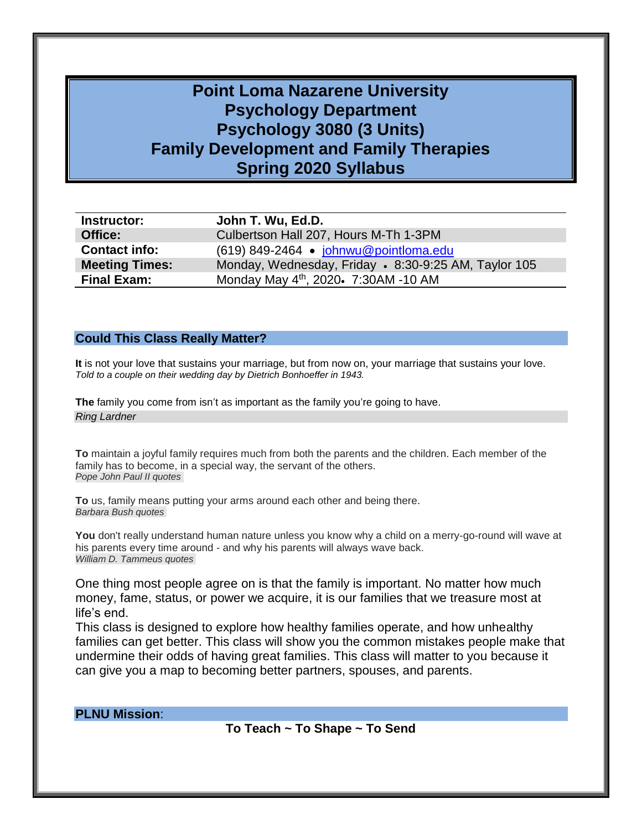# **Point Loma Nazarene University Psychology Department Psychology 3080 (3 Units) Family Development and Family Therapies Spring 2020 Syllabus**

| Instructor:           | John T. Wu, Ed.D.                                    |
|-----------------------|------------------------------------------------------|
| Office:               | Culbertson Hall 207, Hours M-Th 1-3PM                |
| <b>Contact info:</b>  | (619) 849-2464 · johnwu@pointloma.edu                |
| <b>Meeting Times:</b> | Monday, Wednesday, Friday • 8:30-9:25 AM, Taylor 105 |
| <b>Final Exam:</b>    | Monday May 4th, 2020. 7:30AM -10 AM                  |

#### **Could This Class Really Matter?**

**It** is not your love that sustains your marriage, but from now on, your marriage that sustains your love. *Told to a couple on their wedding day by Dietrich Bonhoeffer in 1943.*

**The** family you come from isn't as important as the family you're going to have. *Ring Lardner*

**To** maintain a joyful family [requires much from both the parents and the children. Each member of the](http://www.searchquotes.com/quotation/To_maintain_a_joyful_family_requires_much_from_both_the_parents_and_the_children._Each_member_of_the/234694/) family [has to become, in a special way, the servant of the others.](http://www.searchquotes.com/quotation/To_maintain_a_joyful_family_requires_much_from_both_the_parents_and_the_children._Each_member_of_the/234694/) *[Pope John Paul II quotes](http://www.searchquotes.com/quotes/author/Pope_John_Paul_II/)*

**To** us, family [means putting your arms around each other and being there.](http://www.searchquotes.com/quotation/To_us%2C_family_means_putting_your_arms_around_each_other_and_being_there/5416/) *[Barbara Bush quotes](http://www.searchquotes.com/quotes/author/Barbara_Bush/)*

You don't really understand human nature unless you know why a child on a merry-go-round will wave at his parents every time around - [and why his parents will always wave back.](http://www.searchquotes.com/quotation/You_don%27t_really_understand_human_nature_unless_you_know_why_a_child_on_a_merry-go-round_will_wave_a/33901/) *William D. [Tammeus quotes](http://www.searchquotes.com/quotes/author/William_D_Tammeus/)*

One thing most people agree on is that the family is important. No matter how much money, fame, status, or power we acquire, it is our families that we treasure most at life's end.

This class is designed to explore how healthy families operate, and how unhealthy families can get better. This class will show you the common mistakes people make that undermine their odds of having great families. This class will matter to you because it can give you a map to becoming better partners, spouses, and parents.

**PLNU Mission**:

**To Teach ~ To Shape ~ To Send**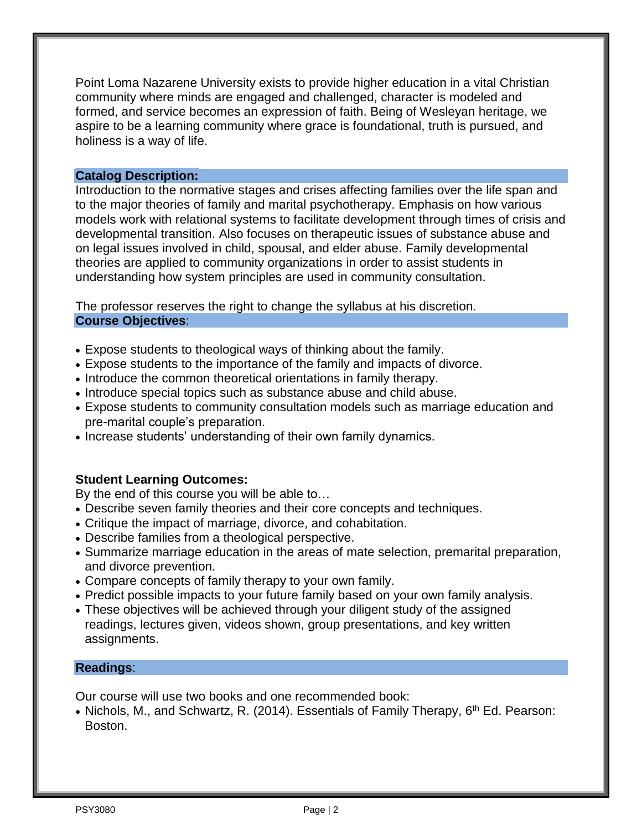Point Loma Nazarene University exists to provide higher education in a vital Christian community where minds are engaged and challenged, character is modeled and formed, and service becomes an expression of faith. Being of Wesleyan heritage, we aspire to be a learning community where grace is foundational, truth is pursued, and holiness is a way of life.

#### **Catalog Description:**

Introduction to the normative stages and crises affecting families over the life span and to the major theories of family and marital psychotherapy. Emphasis on how various models work with relational systems to facilitate development through times of crisis and developmental transition. Also focuses on therapeutic issues of substance abuse and on legal issues involved in child, spousal, and elder abuse. Family developmental theories are applied to community organizations in order to assist students in understanding how system principles are used in community consultation.

The professor reserves the right to change the syllabus at his discretion. **Course Objectives**:

- Expose students to theological ways of thinking about the family.
- Expose students to the importance of the family and impacts of divorce.
- Introduce the common theoretical orientations in family therapy.
- Introduce special topics such as substance abuse and child abuse.
- Expose students to community consultation models such as marriage education and pre-marital couple's preparation.
- Increase students' understanding of their own family dynamics.

### **Student Learning Outcomes:**

By the end of this course you will be able to…

- Describe seven family theories and their core concepts and techniques.
- Critique the impact of marriage, divorce, and cohabitation.
- Describe families from a theological perspective.
- Summarize marriage education in the areas of mate selection, premarital preparation, and divorce prevention.
- Compare concepts of family therapy to your own family.
- Predict possible impacts to your future family based on your own family analysis.
- These objectives will be achieved through your diligent study of the assigned readings, lectures given, videos shown, group presentations, and key written assignments.

#### **Readings**:

Our course will use two books and one recommended book:

• Nichols, M., and Schwartz, R. (2014). Essentials of Family Therapy, 6<sup>th</sup> Ed. Pearson: Boston.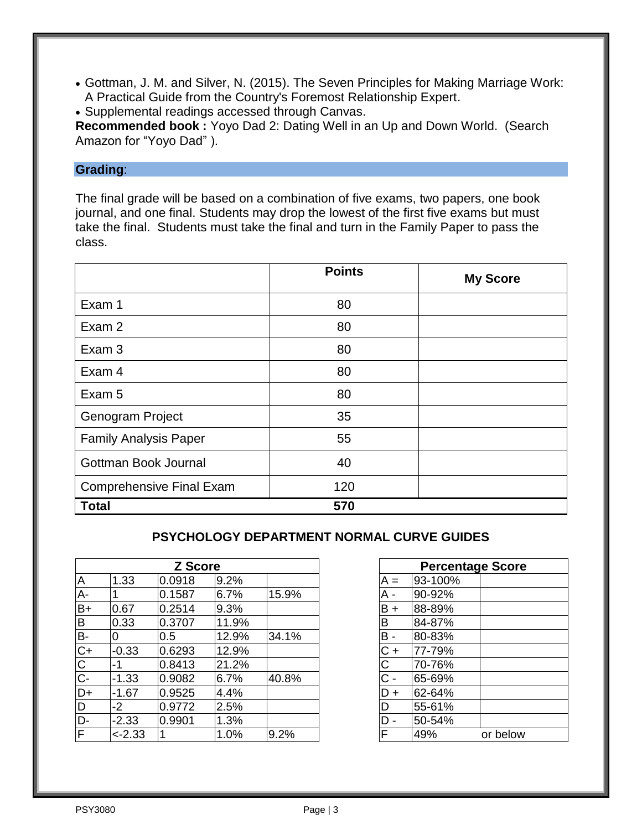- Gottman, J. M. and Silver, N. (2015). The Seven Principles for Making Marriage Work: A Practical Guide from the Country's Foremost Relationship Expert.
- Supplemental readings accessed through Canvas.

**Recommended book :** Yoyo Dad 2: Dating Well in an Up and Down World. (Search Amazon for "Yoyo Dad" ).

#### **Grading**:

The final grade will be based on a combination of five exams, two papers, one book journal, and one final. Students may drop the lowest of the first five exams but must take the final. Students must take the final and turn in the Family Paper to pass the class.

|                                 | <b>Points</b> | <b>My Score</b> |
|---------------------------------|---------------|-----------------|
| Exam 1                          | 80            |                 |
| Exam 2                          | 80            |                 |
| Exam 3                          | 80            |                 |
| Exam 4                          | 80            |                 |
| Exam 5                          | 80            |                 |
| Genogram Project                | 35            |                 |
| <b>Family Analysis Paper</b>    | 55            |                 |
| Gottman Book Journal            | 40            |                 |
| <b>Comprehensive Final Exam</b> | 120           |                 |
| <b>Total</b>                    | 570           |                 |

## **PSYCHOLOGY DEPARTMENT NORMAL CURVE GUIDES**

|                         |           | <b>Z</b> Score |       |       |            | <b>Percentage Score</b> |          |
|-------------------------|-----------|----------------|-------|-------|------------|-------------------------|----------|
| $\overline{\mathsf{A}}$ | 1.33      | 0.0918         | 9.2%  |       | $A =$      | 93-100%                 |          |
| $A -$                   |           | 0.1587         | 6.7%  | 15.9% | A -        | 90-92%                  |          |
| $B+$                    | 0.67      | 0.2514         | 9.3%  |       | $B +$      | 88-89%                  |          |
| $\overline{B}$          | 0.33      | 0.3707         | 11.9% |       | В          | 84-87%                  |          |
| $\overline{B}$          | 0         | 0.5            | 12.9% | 34.1% | <b>B</b> - | 80-83%                  |          |
|                         | $-0.33$   | 0.6293         | 12.9% |       | C +        | 77-79%                  |          |
|                         | -1        | 0.8413         | 21.2% |       | С          | 70-76%                  |          |
| $\overline{C}$          | $-1.33$   | 0.9082         | 6.7%  | 40.8% | C -        | 65-69%                  |          |
| $\overline{D+}$         | $-1.67$   | 0.9525         | 4.4%  |       | D+         | 62-64%                  |          |
| D                       | $-2$      | 0.9772         | 2.5%  |       | D          | 55-61%                  |          |
| $\overline{D}$ -        | $-2.33$   | 0.9901         | 1.3%  |       | D -        | 50-54%                  |          |
| $\overline{\mathsf{F}}$ | $< -2.33$ |                | 1.0%  | 9.2%  |            | 49%                     | or below |

| Z Score |       |       | <b>Percentage Score</b> |         |          |
|---------|-------|-------|-------------------------|---------|----------|
| 918     | 9.2%  |       | $A =$                   | 93-100% |          |
| 587     | 6.7%  | 15.9% | A -                     | 90-92%  |          |
| .514    | 9.3%  |       | $B +$                   | 88-89%  |          |
| 707     | 11.9% |       | B                       | 84-87%  |          |
|         | 12.9% | 34.1% | $B -$                   | 80-83%  |          |
| 293     | 12.9% |       | $C +$                   | 77-79%  |          |
| 413     | 21.2% |       | C                       | 70-76%  |          |
| 082     | 6.7%  | 40.8% | $C -$                   | 65-69%  |          |
| 525     | 4.4%  |       | $D +$                   | 62-64%  |          |
| 772     | 2.5%  |       | D                       | 55-61%  |          |
| 901     | 1.3%  |       | $D -$                   | 50-54%  |          |
|         | 1.0%  | 9.2%  | F                       | 49%     | or below |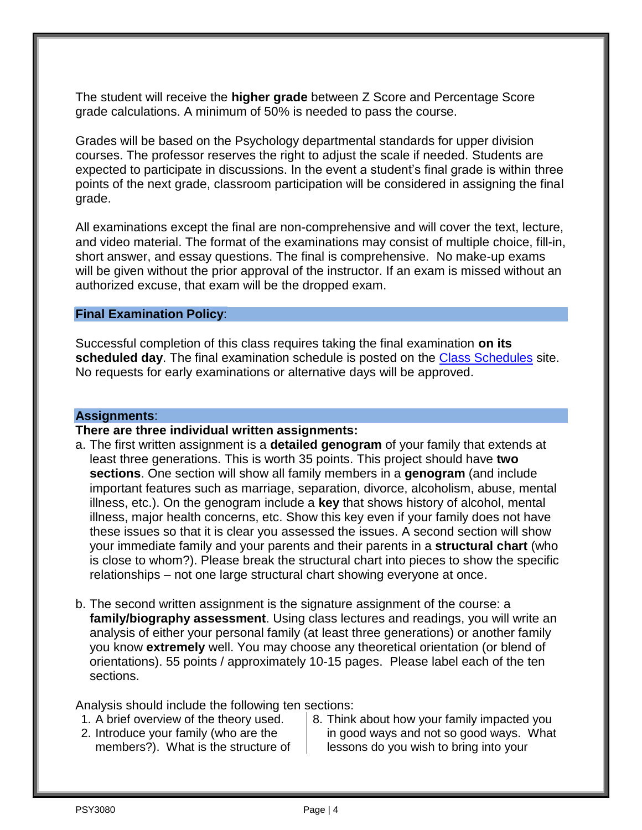The student will receive the **higher grade** between Z Score and Percentage Score grade calculations. A minimum of 50% is needed to pass the course.

Grades will be based on the Psychology departmental standards for upper division courses. The professor reserves the right to adjust the scale if needed. Students are expected to participate in discussions. In the event a student's final grade is within three points of the next grade, classroom participation will be considered in assigning the final grade.

All examinations except the final are non-comprehensive and will cover the text, lecture, and video material. The format of the examinations may consist of multiple choice, fill-in, short answer, and essay questions. The final is comprehensive. No make-up exams will be given without the prior approval of the instructor. If an exam is missed without an authorized excuse, that exam will be the dropped exam.

#### **Final Examination Policy**:

Successful completion of this class requires taking the final examination **on its scheduled day**. The final examination schedule is posted on the [Class Schedules](http://www.pointloma.edu/experience/academics/class-schedules) site. No requests for early examinations or alternative days will be approved.

## **Assignments**:

#### **There are three individual written assignments:**

- a. The first written assignment is a **detailed genogram** of your family that extends at least three generations. This is worth 35 points. This project should have **two sections**. One section will show all family members in a **genogram** (and include important features such as marriage, separation, divorce, alcoholism, abuse, mental illness, etc.). On the genogram include a **key** that shows history of alcohol, mental illness, major health concerns, etc. Show this key even if your family does not have these issues so that it is clear you assessed the issues. A second section will show your immediate family and your parents and their parents in a **structural chart** (who is close to whom?). Please break the structural chart into pieces to show the specific relationships – not one large structural chart showing everyone at once.
- b. The second written assignment is the signature assignment of the course: a **family/biography assessment**. Using class lectures and readings, you will write an analysis of either your personal family (at least three generations) or another family you know **extremely** well. You may choose any theoretical orientation (or blend of orientations). 55 points / approximately 10-15 pages. Please label each of the ten sections.

Analysis should include the following ten sections:

- 1. A brief overview of the theory used.
- 2. Introduce your family (who are the members?). What is the structure of
- 8. Think about how your family impacted you in good ways and not so good ways. What lessons do you wish to bring into your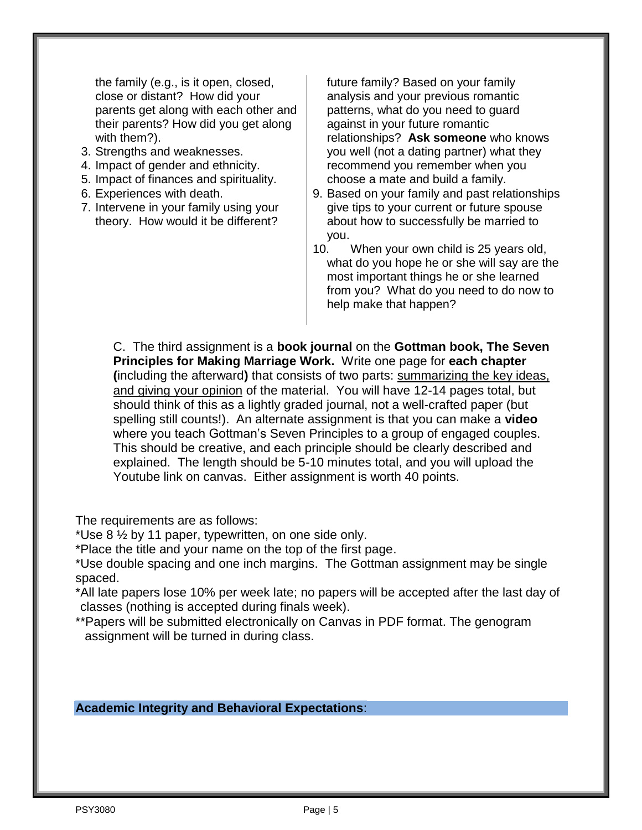the family (e.g., is it open, closed, close or distant? How did your parents get along with each other and their parents? How did you get along with them?).

- 3. Strengths and weaknesses.
- 4. Impact of gender and ethnicity.
- 5. Impact of finances and spirituality.
- 6. Experiences with death.
- 7. Intervene in your family using your theory. How would it be different?

future family? Based on your family analysis and your previous romantic patterns, what do you need to guard against in your future romantic relationships? **Ask someone** who knows you well (not a dating partner) what they recommend you remember when you choose a mate and build a family.

- 9. Based on your family and past relationships give tips to your current or future spouse about how to successfully be married to you.
- 10. When your own child is 25 years old, what do you hope he or she will say are the most important things he or she learned from you? What do you need to do now to help make that happen?

C. The third assignment is a **book journal** on the **Gottman book, The Seven Principles for Making Marriage Work.** Write one page for **each chapter (**including the afterward**)** that consists of two parts: summarizing the key ideas, and giving your opinion of the material. You will have 12-14 pages total, but should think of this as a lightly graded journal, not a well-crafted paper (but spelling still counts!). An alternate assignment is that you can make a **video** where you teach Gottman's Seven Principles to a group of engaged couples. This should be creative, and each principle should be clearly described and explained. The length should be 5-10 minutes total, and you will upload the Youtube link on canvas. Either assignment is worth 40 points.

The requirements are as follows:

\*Use 8 ½ by 11 paper, typewritten, on one side only.

\*Place the title and your name on the top of the first page.

\*Use double spacing and one inch margins. The Gottman assignment may be single spaced.

\*All late papers lose 10% per week late; no papers will be accepted after the last day of classes (nothing is accepted during finals week).

\*\*Papers will be submitted electronically on Canvas in PDF format. The genogram assignment will be turned in during class.

### **Academic Integrity and Behavioral Expectations**: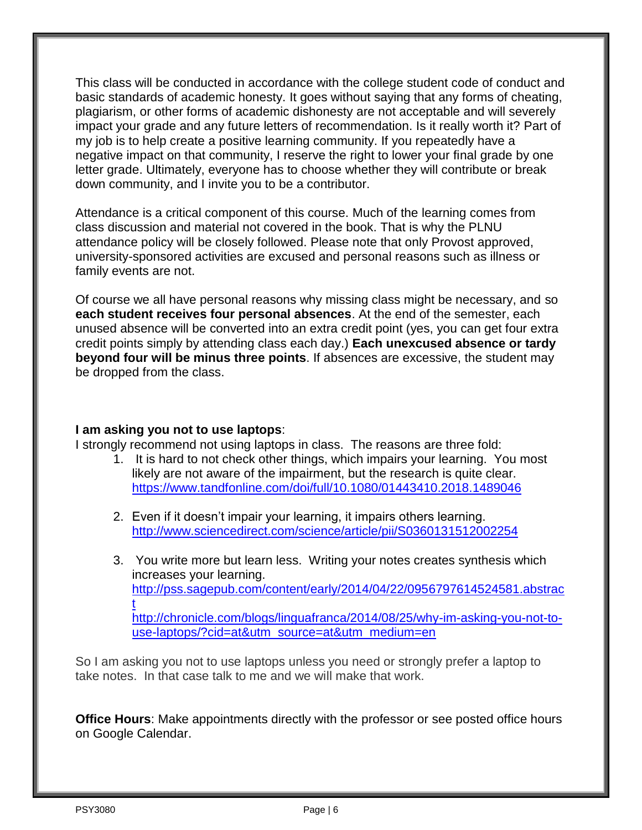This class will be conducted in accordance with the college student code of conduct and basic standards of academic honesty. It goes without saying that any forms of cheating, plagiarism, or other forms of academic dishonesty are not acceptable and will severely impact your grade and any future letters of recommendation. Is it really worth it? Part of my job is to help create a positive learning community. If you repeatedly have a negative impact on that community, I reserve the right to lower your final grade by one letter grade. Ultimately, everyone has to choose whether they will contribute or break down community, and I invite you to be a contributor.

Attendance is a critical component of this course. Much of the learning comes from class discussion and material not covered in the book. That is why the PLNU attendance policy will be closely followed. Please note that only Provost approved, university-sponsored activities are excused and personal reasons such as illness or family events are not.

Of course we all have personal reasons why missing class might be necessary, and so **each student receives four personal absences**. At the end of the semester, each unused absence will be converted into an extra credit point (yes, you can get four extra credit points simply by attending class each day.) **Each unexcused absence or tardy beyond four will be minus three points**. If absences are excessive, the student may be dropped from the class.

### **I am asking you not to use laptops**:

I strongly recommend not using laptops in class. The reasons are three fold:

- 1. It is hard to not check other things, which impairs your learning. You most likely are not aware of the impairment, but the research is quite clear. <https://www.tandfonline.com/doi/full/10.1080/01443410.2018.1489046>
- 2. Even if it doesn't impair your learning, it impairs others learning. <http://www.sciencedirect.com/science/article/pii/S0360131512002254>
- 3. You write more but learn less. Writing your notes creates synthesis which increases your learning. [http://pss.sagepub.com/content/early/2014/04/22/0956797614524581.abstrac](http://pss.sagepub.com/content/early/2014/04/22/0956797614524581.abstract) [t](http://pss.sagepub.com/content/early/2014/04/22/0956797614524581.abstract) [http://chronicle.com/blogs/linguafranca/2014/08/25/why-im-asking-you-not-to](http://chronicle.com/blogs/linguafranca/2014/08/25/why-im-asking-you-not-to-use-laptops/?cid=at&utm_source=at&utm_medium=en)[use-laptops/?cid=at&utm\\_source=at&utm\\_medium=en](http://chronicle.com/blogs/linguafranca/2014/08/25/why-im-asking-you-not-to-use-laptops/?cid=at&utm_source=at&utm_medium=en)

So I am asking you not to use laptops unless you need or strongly prefer a laptop to take notes. In that case talk to me and we will make that work.

**Office Hours**: Make appointments directly with the professor or see posted office hours on Google Calendar.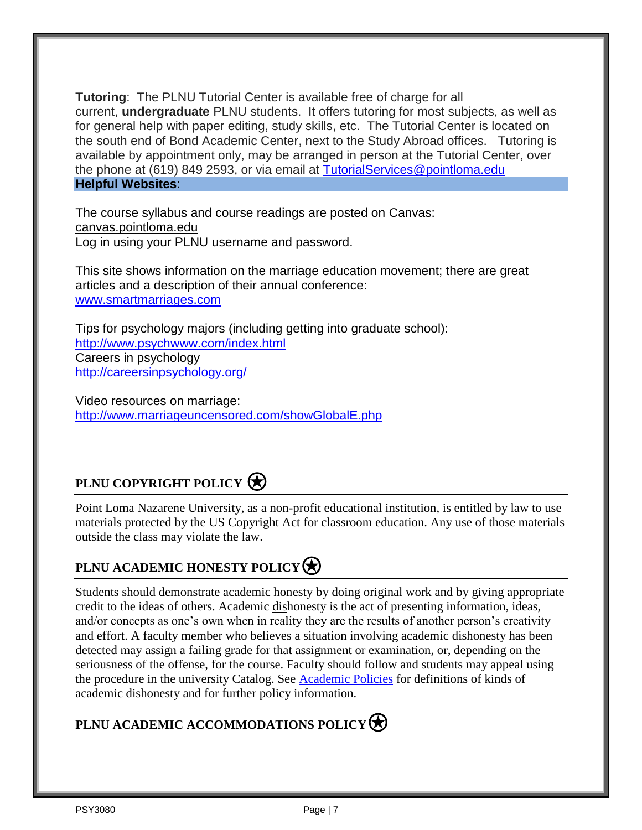**Tutoring**: The PLNU Tutorial Center is available free of charge for all current, **undergraduate** PLNU students. It offers tutoring for most subjects, as well as for general help with paper editing, study skills, etc. The Tutorial Center is located on the south end of Bond Academic Center, next to the Study Abroad offices. Tutoring is available by appointment only, may be arranged in person at the Tutorial Center, over the phone at (619) 849 2593, or via email at [TutorialServices@pointloma.edu](mailto:TutorialServices@pointloma.edu) **Helpful Websites**:

The course syllabus and course readings are posted on Canvas: canvas.pointloma.edu Log in using your PLNU username and password.

This site shows information on the marriage education movement; there are great articles and a description of their annual conference: [www.smartmarriages.com](file:///C:/Documents%20and%20Settings/jwu/Local%20Settings/Temporary%20Internet%20Files/Content.Outlook/B5BAY09F/www.smartmarriages.com)

Tips for psychology majors (including getting into graduate school): <http://www.psychwww.com/index.html> Careers in psychology <http://careersinpsychology.org/>

Video resources on marriage: <http://www.marriageuncensored.com/showGlobalE.php>

# **PLNU COPYRIGHT POLICY**

Point Loma Nazarene University, as a non-profit educational institution, is entitled by law to use materials protected by the US Copyright Act for classroom education. Any use of those materials outside the class may violate the law.

## **PLNU ACADEMIC HONESTY POLICY**

Students should demonstrate academic honesty by doing original work and by giving appropriate credit to the ideas of others. Academic dishonesty is the act of presenting information, ideas, and/or concepts as one's own when in reality they are the results of another person's creativity and effort. A faculty member who believes a situation involving academic dishonesty has been detected may assign a failing grade for that assignment or examination, or, depending on the seriousness of the offense, for the course. Faculty should follow and students may appeal using the procedure in the university Catalog. See [Academic Policies](http://catalog.pointloma.edu/content.php?catoid=18&navoid=1278) for definitions of kinds of academic dishonesty and for further policy information.

## **PLNU ACADEMIC ACCOMMODATIONS POLICY**